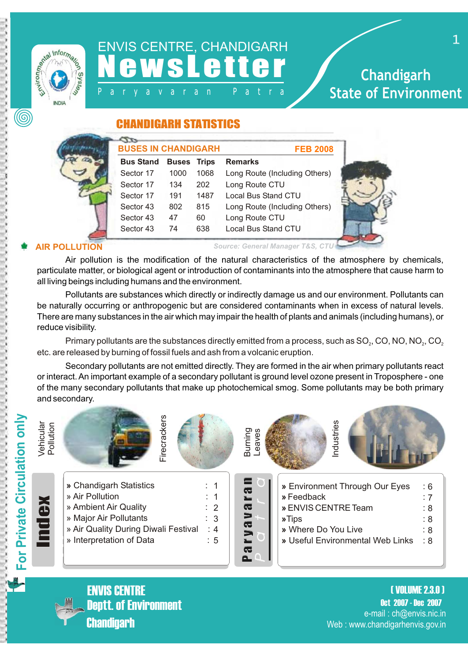

# ENVIS CENTRE, CHANDIGARH **N e W S L e t t e r** Chandigarh

# P a r y a v a r a n P a t r a **State of Environment**

#### CHANDIGARH STATISTICS

| <b>BUSES IN CHANDIGARH</b> |                    |      | <b>FEB 2008</b>               |  |
|----------------------------|--------------------|------|-------------------------------|--|
| <b>Bus Stand</b>           | <b>Buses Trips</b> |      | <b>Remarks</b>                |  |
| Sector 17                  | 1000               | 1068 | Long Route (Including Others) |  |
| Sector 17                  | 134                | 202  | Long Route CTU                |  |
| Sector 17                  | 191                | 1487 | Local Bus Stand CTU           |  |
| Sector 43                  | 802                | 815  | Long Route (Including Others) |  |
| Sector 43                  | 47                 | 60   | Long Route CTU                |  |
| Sector 43                  | 74                 | 638  | Local Bus Stand CTU           |  |

**AIR POLLUTION** *Source: General Manager T&S, CTU* 

Air pollution is the modification of the natural characteristics of the atmosphere by chemicals, particulate matter, or biological agent or introduction of contaminants into the atmosphere that cause harm to all living beings including humans and the environment.

Pollutants are substances which directly or indirectly damage us and our environment. Pollutants can be naturally occurring or anthropogenic but are considered contaminants when in excess of natural levels. There are many substances in the air which may impair the health of plants and animals (including humans), or reduce visibility.

Primary pollutants are the substances directly emitted from a process, such as  $SO<sub>2</sub>$ , CO, NO, NO<sub> $2$ </sub>, CO<sub>2</sub> etc. are released by burning of fossil fuels and ash from a volcanic eruption.

Secondary pollutants are not emitted directly. They are formed in the air when primary pollutants react or interact. An important example of a secondary pollutant is ground level ozone present in Troposphere - one of the many secondary pollutants that make up photochemical smog. Some pollutants may be both primary and secondary.





**Chandigarh** ENVIS CENTRE

Oct 2007 - Dec 2007 ( VOLUME 2.3.0 ) Deptt. of Environment e-mail : ch@envis.nic.in Web : www.chandigarhenvis.gov.in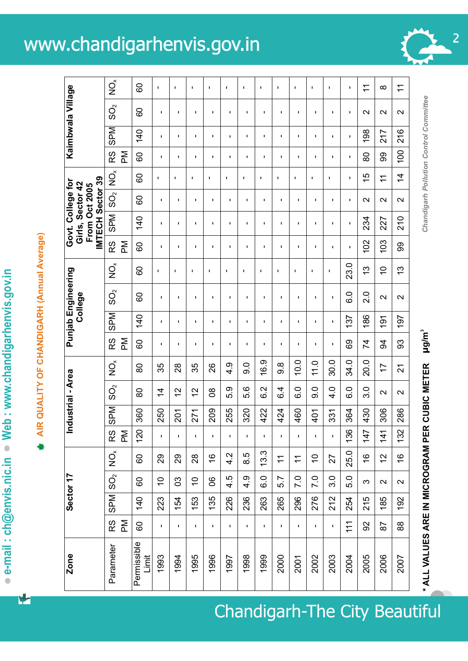# **e-mail : ch@envis.nic.in Web : www.chandigarhenvis.gov.in**   $\bullet$  e-mail : ch@envis.nic.in  $\bullet$  Web : www.chandigarhenvis.gov.in

# **AIR QUALITY OF CHANDIGARH (Annual Average)**  AIR QUALITY OF CHANDIGARH (Annual Average)

L

 $\overline{1}$ 

| Zone                             |                    |            | Sector 17                 |                      |                           |     | Industrial - Area     |                      |                |                  | Punjab Engineering<br>College |                           |                | IMTECH Sector 39<br>Govt. College for<br>Girls, Sector 42<br>From Oct 2005 |                          |                |                    |                | Kaimbwala Village                             |                      |
|----------------------------------|--------------------|------------|---------------------------|----------------------|---------------------------|-----|-----------------------|----------------------|----------------|------------------|-------------------------------|---------------------------|----------------|----------------------------------------------------------------------------|--------------------------|----------------|--------------------|----------------|-----------------------------------------------|----------------------|
| Parameter                        | RS<br>$\mathbb{R}$ | <b>SPM</b> | $S_{\rm Q}$               | $\check{\mathrm{p}}$ | RS<br>$\sum_{\mathsf{A}}$ | SPM | $\mathcal{S}^{\circ}$ | $\breve{\mathsf{Q}}$ | RS<br>Μd       | SPM              | $\mathbf{S}^{\mathbf{C}}$     | $\check{\mathrm{Q}}$      | RS<br>Μd       | <b>NdS</b>                                                                 | SO <sub>2</sub>          | $\check{q}$    | $\mathsf{M}$<br>RS | SPM            | $\mathbf{S}^{\mathsf{O}}$                     | $\breve{\mathsf{Q}}$ |
| Permissible<br>Limit             | 60                 | 140        | $\mbox{6}$                | 60                   | 120                       | 360 | 80                    | 80                   | ငွ             | 140              | 8                             | 80                        | 8              | 140                                                                        | 80                       | 8              | 80                 | 140            | 8                                             | 8                    |
| 1993                             | $\mathbf{I}$       | 223        | $\widetilde{\phantom{a}}$ | 29                   | $\blacksquare$            | 250 | $\overline{4}$        | 35                   | $\mathbf I$    | $\mathbf I$      | $\mathbf I$                   | ı                         | $\mathbf I$    | $\mathbf I$                                                                | J.                       | J.             | $\mathbf{I}$       | $\mathbf I$    | J.                                            | I.                   |
| 1994                             | J.                 | 154        | 3                         | 80                   | f,                        | 201 | 21                    | 28                   | ı              | f,               | f,                            | J.                        | f,             | f,                                                                         | f,                       | J.             | f,                 | f,             | f,                                            | L.                   |
| 1995                             | T,                 | 153        | $\overline{C}$            | 28                   | $\blacksquare$            | 271 | $\overline{C}$        | 35                   | τ.             | $\mathbf I$      | $\mathbf{I}$                  | I.                        | I.             | $\mathbf I$                                                                | ٠                        | J.             | $\mathbf I$        | I.             | ı.                                            | $\mathbf I$          |
| 1996                             | ı                  | 135        | 8                         | $\frac{6}{5}$        | $\blacksquare$            | 209 | 80                    | 26                   | ı              | $\blacksquare$   | ı                             | J.                        | $\blacksquare$ | $\blacksquare$                                                             | $\blacksquare$           | $\mathbf{I}$   | $\blacksquare$     | $\blacksquare$ | ı                                             | J.                   |
| 1997                             | $\blacksquare$     | 226        | 4.5                       | 4.2                  | I.                        | 255 | 5.9                   | $\frac{9}{4}$        | ٠              | $\mathbf I$      | $\blacksquare$                | I.                        | $\mathbf I$    | $\blacksquare$                                                             | $\mathbf I$              | $\blacksquare$ | $\mathbf I$        | $\mathbf I$    | ٠                                             | I.                   |
| 1998                             | J.                 | 236        | 4.9                       | 8.5                  | f,                        | 320 | 5.6                   | $\overline{9}$ .0    | ı              | I.               | f,                            | J.                        | I.             | f,                                                                         | ı                        | ×.             | I.                 | I.             | f,                                            | J.                   |
| 1999                             | $\blacksquare$     | 263        | 0.9                       | 13.3                 | $\blacksquare$            | 422 | 6.2                   | 16.9                 | п              | I.               | J.                            | I.                        | $\blacksquare$ | $\blacksquare$                                                             | 1                        | J.             | I.                 | I.             | J.                                            | J.                   |
| 2000                             | $\blacksquare$     | 265        | 5.7                       | $\tilde{+}$          | $\mathbf{I}$              | 424 | 6.4                   | 8.io                 | п              | $\mathbf I$      | $\mathbf I$                   | J.                        | $\blacksquare$ | $\blacksquare$                                                             | $\blacksquare$           | J.             | I.                 | I.             | 1                                             | J.                   |
| 2001                             | f,                 | 296        | 7.0                       | $\div$               | f,                        | 460 | $\overline{6}$ .0     | 10.0                 | ı.             | I.               | f,                            | п                         | T,             | f,                                                                         | T,                       | J.             | ı.                 | I.             | I.                                            | f,                   |
| 2002                             | $\mathbf{I}$       | 276        | 7.0                       | $\tilde{=}$          | f,                        | 401 | 0.6                   | $\frac{0}{11}$       | I.             | $\mathbf{I}$     | $\mathbf I$                   | п                         | J.             | $\mathbf I$                                                                | J.                       | J.             | $\mathbf I$        | J.             | ı                                             | $\mathbf{I}$         |
| 2003                             | $\mathbf I$        | 212        | 3.0                       | 27                   | I.                        | 331 | $\frac{4}{1}$         | 30.0                 | ٠              | $\mathbf I$      | $\mathbf I$                   | J.                        | $\mathbf I$    | $\mathbf I$                                                                | J.                       | 1              | ı.                 | $\mathbf I$    | f,                                            | 1                    |
| 2004                             | 111                | 254        | 5.0                       | 25.0                 | 136                       | 364 | $\overline{6}$ .0     | 34.0                 | 89             | 137              | o.o                           | 23.0                      | $\mathbf I$    | $\mathbf I$                                                                | $\mathbf{I}$             | $\mathbf I$    | $\mathbf I$        | $\mathbf I$    | $\mathbf I$                                   | $\mathbf I$          |
| 2005                             | 92                 | 215        | က                         | $\frac{6}{1}$        | 147                       | 430 | 3.0                   | 20.0                 | 74             | 186              | 2.0                           | 13                        | 102            | 234                                                                        | $\sim$                   | 15             | 80                 | 198            | $\mathbf{\Omega}$                             | $\overline{1}$       |
| 2006                             | 28                 | 185        | $\sim$                    | $\frac{1}{2}$        | $\frac{41}{3}$            | 306 | $\sim$                | $\overline{1}$       | 34             | $\overline{191}$ | $\mathbf{\Omega}$             | $\widetilde{\phantom{a}}$ | 103            | 227                                                                        | $\scriptstyle\mathtt{N}$ | $\tilde{+}$    | 99                 | 217            | $\sim$                                        | ∞                    |
| 2007                             | $88$               | 192        | $\sim$                    | $\frac{6}{1}$        | 132                       | 286 | $\sim$                | $\overline{2}$       | 33             | 197              | $\sim$                        | $\frac{3}{2}$             | 99             | 210                                                                        | $\sim$                   | $\overline{4}$ | 100                | 216            | $\sim$                                        | $\tilde{+}$          |
| * ALL VALUES ARE IN MICROGRAM PE |                    |            |                           |                      |                           |     | R CUBIC METER         |                      | $\mu$ g/m $^3$ |                  |                               |                           |                |                                                                            |                          |                |                    |                | <b>Chandigarh Pollution Control Committee</b> |                      |

# www.chandigarhenvis.gov.in 2



Chandigarh-The City Beautiful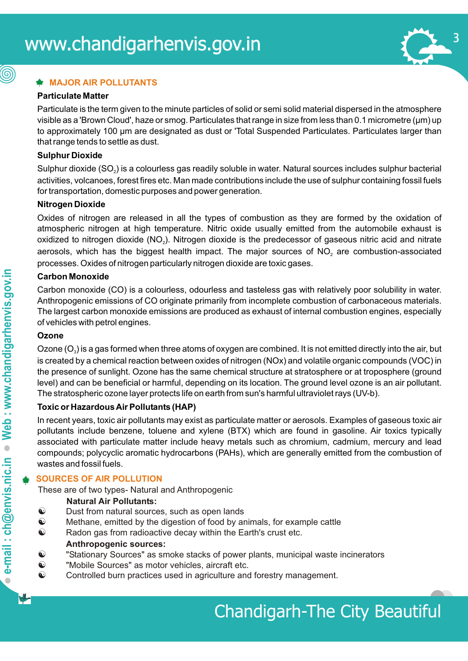

#### **MAJOR AIR POLLUTANTS**

#### **Particulate Matter**

(@)

Particulate is the term given to the minute particles of solid or semi solid material dispersed in the atmosphere visible as a 'Brown Cloud', haze or smog. Particulates that range in size from less than 0.1 micrometre (µm) up to approximately 100 µm are designated as dust or 'Total Suspended Particulates. Particulates larger than that range tends to settle as dust.

#### **Sulphur Dioxide**

Sulphur dioxide (SO<sub>2</sub>) is a colourless gas readily soluble in water. Natural sources includes sulphur bacterial activities, volcanoes, forest fires etc. Man made contributions include the use of sulphur containing fossil fuels for transportation, domestic purposes and power generation.

#### **Nitrogen Dioxide**

Oxides of nitrogen are released in all the types of combustion as they are formed by the oxidation of atmospheric nitrogen at high temperature. Nitric oxide usually emitted from the automobile exhaust is oxidized to nitrogen dioxide ( $NO<sub>2</sub>$ ). Nitrogen dioxide is the predecessor of gaseous nitric acid and nitrate aerosols, which has the biggest health impact. The major sources of  $NO<sub>2</sub>$  are combustion-associated processes. Oxides of nitrogen particularly nitrogen dioxide are toxic gases.

#### **Carbon Monoxide**

Carbon monoxide (CO) is a colourless, odourless and tasteless gas with relatively poor solubility in water. Anthropogenic emissions of CO originate primarily from incomplete combustion of carbonaceous materials. The largest carbon monoxide emissions are produced as exhaust of internal combustion engines, especially of vehicles with petrol engines.

#### **Ozone**

Ozone  $(O_3)$  is a gas formed when three atoms of oxygen are combined. It is not emitted directly into the air, but is created by a chemical reaction between oxides of nitrogen (NOx) and volatile organic compounds (VOC) in the presence of sunlight. Ozone has the same chemical structure at stratosphere or at troposphere (ground level) and can be beneficial or harmful, depending on its location. The ground level ozone is an air pollutant. The stratospheric ozone layer protects life on earth from sun's harmful ultraviolet rays (UV-b).

#### **Toxic or Hazardous Air Pollutants (HAP)**

In recent years, toxic air pollutants may exist as particulate matter or aerosols. Examples of gaseous toxic air pollutants include benzene, toluene and xylene (BTX) which are found in gasoline. Air toxics typically associated with particulate matter include heavy metals such as chromium, cadmium, mercury and lead compounds; polycyclic aromatic hydrocarbons (PAHs), which are generally emitted from the combustion of wastes and fossil fuels.

#### **SOURCES OF AIR POLLUTION**

These are of two types- Natural and Anthropogenic

#### **Natural Air Pollutants:**

- $\odot$  Dust from natural sources, such as open lands
- $\odot$  Methane, emitted by the digestion of food by animals, for example cattle
- $\odot$  Radon gas from radioactive decay within the Earth's crust etc.

#### **Anthropogenic sources:**

- $\odot$  "Stationary Sources" as smoke stacks of power plants, municipal waste incinerators
- $\odot$  "Mobile Sources" as motor vehicles, aircraft etc.
- $\odot$  Controlled burn practices used in agriculture and forestry management.

 $\bullet$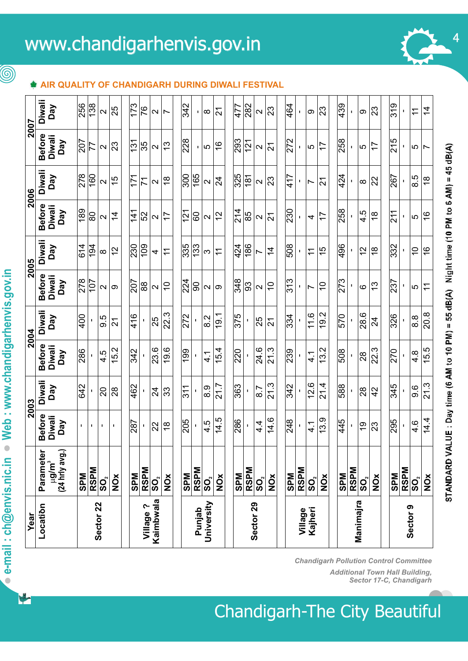# www.chandigarhenvis.gov.in 2007

#### **AIR QUALITY OF CHANDIGARH DURING DIWALI FESTIVAL**

| <b>Diwali</b><br>138<br>256<br>$\overline{173}$<br>342<br>464<br>439<br>319<br>282<br>477<br>Day<br>76<br>25<br>23<br>23<br>23<br>$\overline{4}$<br>$\overline{2}$<br>$\div$<br>$\sim$<br>$\overline{\mathsf{C}}$<br>$\sim$<br>တ<br>တ<br>$\overline{\phantom{0}}$<br>∞<br>т.<br>I,<br>$\blacksquare$<br><b>Before</b><br><b>Diwali</b><br>228<br>293<br>272<br>258<br>215<br>Day<br>207<br>121<br>$\frac{131}{2}$<br>23<br>35<br>$\frac{3}{2}$<br>$\frac{6}{5}$<br>$\overline{1}$<br>77<br>$\overline{2}$<br>77<br>$\mathbf{\Omega}$<br>$\mathbf{\Omega}$<br>5<br>$\sim$<br>5<br>5<br>5<br>$\mathbf{L}$<br>$\overline{ }$<br>$\blacksquare$<br><b>Diwali</b><br>165<br>278<br>160<br>$\overline{300}$<br>325<br>424<br>Day<br>417<br>171<br>181<br>267<br>8.5<br>$\frac{5}{2}$<br>$\frac{8}{1}$<br>$\overline{2}$<br>23<br>$\frac{8}{1}$<br>22<br>71<br>$\overline{2}$<br>$\mathbf{\Omega}$<br>$\mathbf{\Omega}$<br>$\mathbf{\Omega}$<br>$\mathbf{\Omega}$<br>$\infty$<br>I,<br>$\overline{\phantom{0}}$<br>п<br><b>Before</b><br><b>Diwali</b><br>189<br>$\frac{4}{2}$<br>230<br>258<br>Day<br>$\frac{41}{3}$<br>121<br>4.5<br>211<br>27<br>85<br>$\frac{8}{1}$<br>$\frac{6}{5}$<br>80<br>$\overline{4}$<br>52<br>17<br>8<br>17<br>$\overline{2}$<br>$\sim$<br>$\mathbf{\Omega}$<br>5<br>$\sim$<br>$\sim$<br>$\blacksquare$<br>4<br>ı<br><b>Diwali</b><br>335<br>133<br>424<br>186<br>508<br>614<br>194<br>230<br>109<br>496<br>332<br>Day<br>$\tilde{c}$<br>$\frac{8}{1}$<br>$\frac{6}{5}$<br>$\overline{4}$<br>$\frac{1}{2}$<br>$\tilde{=}$<br>15<br>$\overline{1}$<br>$\overline{\tau}$<br>$\div$<br>က<br>$\infty$<br>4<br>Ľ<br><b>Before</b><br><b>Diwali</b><br>278<br>313<br>224<br>348<br>273<br>$\overline{101}$<br>Day<br>207<br>237<br>93<br>88<br>$\overline{C}$<br>$\widetilde{\phantom{a}}$<br>$\widetilde{\phantom{a}}$<br>$\frac{3}{2}$<br>90<br>$\widetilde{\tau}$<br>$\mathbf{\Omega}$<br>$\mathbf{\Omega}$<br>ဖ<br>5<br>$\sim$<br>တ<br>$\mathbf{\Omega}$<br>တ<br>т.<br>$\overline{ }$<br><b>Diwali</b><br>22.3<br>9.2<br>28.6<br>20.8<br>11.6<br>19.1<br>416<br>375<br>326<br>400<br>272<br>$\frac{1}{334}$<br>570<br>Day<br>9.5<br>8.2<br>8.8<br>25<br>25<br>24<br>$\overline{2}$<br>$\overline{2}$<br>$\mathbf{I}$<br>п<br>$\overline{\phantom{0}}$<br><b>Before</b><br><b>Diwali</b><br>9.6<br>23.6<br>24.6<br>21.3<br>3.2<br>22.3<br>5.5<br>Ņ<br>54<br>$\mathbf{\tilde{c}}$<br>199<br>220<br>239<br>286<br>508<br>270<br>c.<br>$4.\overline{8}$<br>Day<br>$\frac{1}{4}$<br>41<br>4<br>28<br>J.<br>र्न्र<br>ro.<br>4<br>ᡪ<br>$\overline{\phantom{0}}$<br>Diwali<br>21.3<br>12.6<br>21.3<br>21.7<br>21.4<br>642<br>462<br>363<br>342<br>345<br>588<br>Day<br>9.6<br>311<br>8.9<br>33<br>$\overline{8}$<br>28<br>42<br>$\overline{c}$<br>$\overline{2}$<br>28<br>$\blacksquare$<br>τ.<br><b>Before</b><br><b>Diwali</b><br>14.5<br>14.6<br>13.9<br>14.4<br>286<br>248<br>205<br>445<br>295<br>Day<br>287<br>4.5<br>4.<br>$4.\overline{6}$<br>$\frac{8}{1}$<br>$\frac{1}{4}$<br>23<br>22<br>$\frac{6}{1}$<br>$\mathbf I$<br>$\blacksquare$<br>I.<br>٠<br>J.<br>J.<br>Parameter<br>g/m <sup>3</sup><br>(24 hrly avg.)<br><b>RSPM</b><br><b>RSPM</b><br><b>RSPM</b><br>RSPM<br>SO <sub>2</sub><br>RSPM<br>SO <sub>2</sub><br><b>RSPM</b><br><b>RSPM</b><br><b>MdS</b><br><b>SPM</b><br><b>SPM</b><br><b>SPM</b><br><b>SPM</b><br><b>SPM</b><br><b>SPM</b><br><b>NOX</b><br><b>NOX</b><br>$\frac{\delta}{\delta}$<br>$\check{\mathbf{Q}}$<br>$\check{Q}$<br>$\frac{\delta}{\delta}$<br><b>NO</b><br>$\overline{\mathbf{S}}$ $\mathbf{O}_{\!\scriptscriptstyle \chi}^{\!\scriptscriptstyle \chi}$<br>$\mathbf{S}^{\mathbf{C}}$<br>$\mathbf{S}^{\mathbf{C}}$<br>$\mathbf{S}^{\mathbf{O}_\mathbf{c}}$<br>SO,<br>Kaimbwala<br>Manimajra<br>University<br>Sector <sub>22</sub><br>Sector <sub>29</sub><br>Location<br>Village?<br>Sector 9<br>Punjab<br>Kajheri<br>Village | Year |  | 2003 | 2004 | 2005 | 2006 | 2007 |  |
|---------------------------------------------------------------------------------------------------------------------------------------------------------------------------------------------------------------------------------------------------------------------------------------------------------------------------------------------------------------------------------------------------------------------------------------------------------------------------------------------------------------------------------------------------------------------------------------------------------------------------------------------------------------------------------------------------------------------------------------------------------------------------------------------------------------------------------------------------------------------------------------------------------------------------------------------------------------------------------------------------------------------------------------------------------------------------------------------------------------------------------------------------------------------------------------------------------------------------------------------------------------------------------------------------------------------------------------------------------------------------------------------------------------------------------------------------------------------------------------------------------------------------------------------------------------------------------------------------------------------------------------------------------------------------------------------------------------------------------------------------------------------------------------------------------------------------------------------------------------------------------------------------------------------------------------------------------------------------------------------------------------------------------------------------------------------------------------------------------------------------------------------------------------------------------------------------------------------------------------------------------------------------------------------------------------------------------------------------------------------------------------------------------------------------------------------------------------------------------------------------------------------------------------------------------------------------------------------------------------------------------------------------------------------------------------------------------------------------------------------------------------------------------------------------------------------------------------------------------------------------------------------------------------------------------------------------------------------------------------------------------------------------------------------------------------------------------------------------------------------------------------------------------------------------------------------------------------------------------------------------------------------------------------------------------------------------------------------------------------------------------------------------------------------------------------------------------------------------------------------------------------------------------------------------------------------------------------------------------------------------------------------------------------------------------------------------------------------------------------------------------------------------------------------------------------------------------------------------------------------------------------|------|--|------|------|------|------|------|--|
|                                                                                                                                                                                                                                                                                                                                                                                                                                                                                                                                                                                                                                                                                                                                                                                                                                                                                                                                                                                                                                                                                                                                                                                                                                                                                                                                                                                                                                                                                                                                                                                                                                                                                                                                                                                                                                                                                                                                                                                                                                                                                                                                                                                                                                                                                                                                                                                                                                                                                                                                                                                                                                                                                                                                                                                                                                                                                                                                                                                                                                                                                                                                                                                                                                                                                                                                                                                                                                                                                                                                                                                                                                                                                                                                                                                                                                                                                       |      |  |      |      |      |      |      |  |
|                                                                                                                                                                                                                                                                                                                                                                                                                                                                                                                                                                                                                                                                                                                                                                                                                                                                                                                                                                                                                                                                                                                                                                                                                                                                                                                                                                                                                                                                                                                                                                                                                                                                                                                                                                                                                                                                                                                                                                                                                                                                                                                                                                                                                                                                                                                                                                                                                                                                                                                                                                                                                                                                                                                                                                                                                                                                                                                                                                                                                                                                                                                                                                                                                                                                                                                                                                                                                                                                                                                                                                                                                                                                                                                                                                                                                                                                                       |      |  |      |      |      |      |      |  |
|                                                                                                                                                                                                                                                                                                                                                                                                                                                                                                                                                                                                                                                                                                                                                                                                                                                                                                                                                                                                                                                                                                                                                                                                                                                                                                                                                                                                                                                                                                                                                                                                                                                                                                                                                                                                                                                                                                                                                                                                                                                                                                                                                                                                                                                                                                                                                                                                                                                                                                                                                                                                                                                                                                                                                                                                                                                                                                                                                                                                                                                                                                                                                                                                                                                                                                                                                                                                                                                                                                                                                                                                                                                                                                                                                                                                                                                                                       |      |  |      |      |      |      |      |  |
|                                                                                                                                                                                                                                                                                                                                                                                                                                                                                                                                                                                                                                                                                                                                                                                                                                                                                                                                                                                                                                                                                                                                                                                                                                                                                                                                                                                                                                                                                                                                                                                                                                                                                                                                                                                                                                                                                                                                                                                                                                                                                                                                                                                                                                                                                                                                                                                                                                                                                                                                                                                                                                                                                                                                                                                                                                                                                                                                                                                                                                                                                                                                                                                                                                                                                                                                                                                                                                                                                                                                                                                                                                                                                                                                                                                                                                                                                       |      |  |      |      |      |      |      |  |
|                                                                                                                                                                                                                                                                                                                                                                                                                                                                                                                                                                                                                                                                                                                                                                                                                                                                                                                                                                                                                                                                                                                                                                                                                                                                                                                                                                                                                                                                                                                                                                                                                                                                                                                                                                                                                                                                                                                                                                                                                                                                                                                                                                                                                                                                                                                                                                                                                                                                                                                                                                                                                                                                                                                                                                                                                                                                                                                                                                                                                                                                                                                                                                                                                                                                                                                                                                                                                                                                                                                                                                                                                                                                                                                                                                                                                                                                                       |      |  |      |      |      |      |      |  |
|                                                                                                                                                                                                                                                                                                                                                                                                                                                                                                                                                                                                                                                                                                                                                                                                                                                                                                                                                                                                                                                                                                                                                                                                                                                                                                                                                                                                                                                                                                                                                                                                                                                                                                                                                                                                                                                                                                                                                                                                                                                                                                                                                                                                                                                                                                                                                                                                                                                                                                                                                                                                                                                                                                                                                                                                                                                                                                                                                                                                                                                                                                                                                                                                                                                                                                                                                                                                                                                                                                                                                                                                                                                                                                                                                                                                                                                                                       |      |  |      |      |      |      |      |  |
|                                                                                                                                                                                                                                                                                                                                                                                                                                                                                                                                                                                                                                                                                                                                                                                                                                                                                                                                                                                                                                                                                                                                                                                                                                                                                                                                                                                                                                                                                                                                                                                                                                                                                                                                                                                                                                                                                                                                                                                                                                                                                                                                                                                                                                                                                                                                                                                                                                                                                                                                                                                                                                                                                                                                                                                                                                                                                                                                                                                                                                                                                                                                                                                                                                                                                                                                                                                                                                                                                                                                                                                                                                                                                                                                                                                                                                                                                       |      |  |      |      |      |      |      |  |
|                                                                                                                                                                                                                                                                                                                                                                                                                                                                                                                                                                                                                                                                                                                                                                                                                                                                                                                                                                                                                                                                                                                                                                                                                                                                                                                                                                                                                                                                                                                                                                                                                                                                                                                                                                                                                                                                                                                                                                                                                                                                                                                                                                                                                                                                                                                                                                                                                                                                                                                                                                                                                                                                                                                                                                                                                                                                                                                                                                                                                                                                                                                                                                                                                                                                                                                                                                                                                                                                                                                                                                                                                                                                                                                                                                                                                                                                                       |      |  |      |      |      |      |      |  |
|                                                                                                                                                                                                                                                                                                                                                                                                                                                                                                                                                                                                                                                                                                                                                                                                                                                                                                                                                                                                                                                                                                                                                                                                                                                                                                                                                                                                                                                                                                                                                                                                                                                                                                                                                                                                                                                                                                                                                                                                                                                                                                                                                                                                                                                                                                                                                                                                                                                                                                                                                                                                                                                                                                                                                                                                                                                                                                                                                                                                                                                                                                                                                                                                                                                                                                                                                                                                                                                                                                                                                                                                                                                                                                                                                                                                                                                                                       |      |  |      |      |      |      |      |  |
|                                                                                                                                                                                                                                                                                                                                                                                                                                                                                                                                                                                                                                                                                                                                                                                                                                                                                                                                                                                                                                                                                                                                                                                                                                                                                                                                                                                                                                                                                                                                                                                                                                                                                                                                                                                                                                                                                                                                                                                                                                                                                                                                                                                                                                                                                                                                                                                                                                                                                                                                                                                                                                                                                                                                                                                                                                                                                                                                                                                                                                                                                                                                                                                                                                                                                                                                                                                                                                                                                                                                                                                                                                                                                                                                                                                                                                                                                       |      |  |      |      |      |      |      |  |
|                                                                                                                                                                                                                                                                                                                                                                                                                                                                                                                                                                                                                                                                                                                                                                                                                                                                                                                                                                                                                                                                                                                                                                                                                                                                                                                                                                                                                                                                                                                                                                                                                                                                                                                                                                                                                                                                                                                                                                                                                                                                                                                                                                                                                                                                                                                                                                                                                                                                                                                                                                                                                                                                                                                                                                                                                                                                                                                                                                                                                                                                                                                                                                                                                                                                                                                                                                                                                                                                                                                                                                                                                                                                                                                                                                                                                                                                                       |      |  |      |      |      |      |      |  |
|                                                                                                                                                                                                                                                                                                                                                                                                                                                                                                                                                                                                                                                                                                                                                                                                                                                                                                                                                                                                                                                                                                                                                                                                                                                                                                                                                                                                                                                                                                                                                                                                                                                                                                                                                                                                                                                                                                                                                                                                                                                                                                                                                                                                                                                                                                                                                                                                                                                                                                                                                                                                                                                                                                                                                                                                                                                                                                                                                                                                                                                                                                                                                                                                                                                                                                                                                                                                                                                                                                                                                                                                                                                                                                                                                                                                                                                                                       |      |  |      |      |      |      |      |  |
|                                                                                                                                                                                                                                                                                                                                                                                                                                                                                                                                                                                                                                                                                                                                                                                                                                                                                                                                                                                                                                                                                                                                                                                                                                                                                                                                                                                                                                                                                                                                                                                                                                                                                                                                                                                                                                                                                                                                                                                                                                                                                                                                                                                                                                                                                                                                                                                                                                                                                                                                                                                                                                                                                                                                                                                                                                                                                                                                                                                                                                                                                                                                                                                                                                                                                                                                                                                                                                                                                                                                                                                                                                                                                                                                                                                                                                                                                       |      |  |      |      |      |      |      |  |
|                                                                                                                                                                                                                                                                                                                                                                                                                                                                                                                                                                                                                                                                                                                                                                                                                                                                                                                                                                                                                                                                                                                                                                                                                                                                                                                                                                                                                                                                                                                                                                                                                                                                                                                                                                                                                                                                                                                                                                                                                                                                                                                                                                                                                                                                                                                                                                                                                                                                                                                                                                                                                                                                                                                                                                                                                                                                                                                                                                                                                                                                                                                                                                                                                                                                                                                                                                                                                                                                                                                                                                                                                                                                                                                                                                                                                                                                                       |      |  |      |      |      |      |      |  |
|                                                                                                                                                                                                                                                                                                                                                                                                                                                                                                                                                                                                                                                                                                                                                                                                                                                                                                                                                                                                                                                                                                                                                                                                                                                                                                                                                                                                                                                                                                                                                                                                                                                                                                                                                                                                                                                                                                                                                                                                                                                                                                                                                                                                                                                                                                                                                                                                                                                                                                                                                                                                                                                                                                                                                                                                                                                                                                                                                                                                                                                                                                                                                                                                                                                                                                                                                                                                                                                                                                                                                                                                                                                                                                                                                                                                                                                                                       |      |  |      |      |      |      |      |  |
|                                                                                                                                                                                                                                                                                                                                                                                                                                                                                                                                                                                                                                                                                                                                                                                                                                                                                                                                                                                                                                                                                                                                                                                                                                                                                                                                                                                                                                                                                                                                                                                                                                                                                                                                                                                                                                                                                                                                                                                                                                                                                                                                                                                                                                                                                                                                                                                                                                                                                                                                                                                                                                                                                                                                                                                                                                                                                                                                                                                                                                                                                                                                                                                                                                                                                                                                                                                                                                                                                                                                                                                                                                                                                                                                                                                                                                                                                       |      |  |      |      |      |      |      |  |
|                                                                                                                                                                                                                                                                                                                                                                                                                                                                                                                                                                                                                                                                                                                                                                                                                                                                                                                                                                                                                                                                                                                                                                                                                                                                                                                                                                                                                                                                                                                                                                                                                                                                                                                                                                                                                                                                                                                                                                                                                                                                                                                                                                                                                                                                                                                                                                                                                                                                                                                                                                                                                                                                                                                                                                                                                                                                                                                                                                                                                                                                                                                                                                                                                                                                                                                                                                                                                                                                                                                                                                                                                                                                                                                                                                                                                                                                                       |      |  |      |      |      |      |      |  |
|                                                                                                                                                                                                                                                                                                                                                                                                                                                                                                                                                                                                                                                                                                                                                                                                                                                                                                                                                                                                                                                                                                                                                                                                                                                                                                                                                                                                                                                                                                                                                                                                                                                                                                                                                                                                                                                                                                                                                                                                                                                                                                                                                                                                                                                                                                                                                                                                                                                                                                                                                                                                                                                                                                                                                                                                                                                                                                                                                                                                                                                                                                                                                                                                                                                                                                                                                                                                                                                                                                                                                                                                                                                                                                                                                                                                                                                                                       |      |  |      |      |      |      |      |  |
|                                                                                                                                                                                                                                                                                                                                                                                                                                                                                                                                                                                                                                                                                                                                                                                                                                                                                                                                                                                                                                                                                                                                                                                                                                                                                                                                                                                                                                                                                                                                                                                                                                                                                                                                                                                                                                                                                                                                                                                                                                                                                                                                                                                                                                                                                                                                                                                                                                                                                                                                                                                                                                                                                                                                                                                                                                                                                                                                                                                                                                                                                                                                                                                                                                                                                                                                                                                                                                                                                                                                                                                                                                                                                                                                                                                                                                                                                       |      |  |      |      |      |      |      |  |
|                                                                                                                                                                                                                                                                                                                                                                                                                                                                                                                                                                                                                                                                                                                                                                                                                                                                                                                                                                                                                                                                                                                                                                                                                                                                                                                                                                                                                                                                                                                                                                                                                                                                                                                                                                                                                                                                                                                                                                                                                                                                                                                                                                                                                                                                                                                                                                                                                                                                                                                                                                                                                                                                                                                                                                                                                                                                                                                                                                                                                                                                                                                                                                                                                                                                                                                                                                                                                                                                                                                                                                                                                                                                                                                                                                                                                                                                                       |      |  |      |      |      |      |      |  |
|                                                                                                                                                                                                                                                                                                                                                                                                                                                                                                                                                                                                                                                                                                                                                                                                                                                                                                                                                                                                                                                                                                                                                                                                                                                                                                                                                                                                                                                                                                                                                                                                                                                                                                                                                                                                                                                                                                                                                                                                                                                                                                                                                                                                                                                                                                                                                                                                                                                                                                                                                                                                                                                                                                                                                                                                                                                                                                                                                                                                                                                                                                                                                                                                                                                                                                                                                                                                                                                                                                                                                                                                                                                                                                                                                                                                                                                                                       |      |  |      |      |      |      |      |  |
|                                                                                                                                                                                                                                                                                                                                                                                                                                                                                                                                                                                                                                                                                                                                                                                                                                                                                                                                                                                                                                                                                                                                                                                                                                                                                                                                                                                                                                                                                                                                                                                                                                                                                                                                                                                                                                                                                                                                                                                                                                                                                                                                                                                                                                                                                                                                                                                                                                                                                                                                                                                                                                                                                                                                                                                                                                                                                                                                                                                                                                                                                                                                                                                                                                                                                                                                                                                                                                                                                                                                                                                                                                                                                                                                                                                                                                                                                       |      |  |      |      |      |      |      |  |
|                                                                                                                                                                                                                                                                                                                                                                                                                                                                                                                                                                                                                                                                                                                                                                                                                                                                                                                                                                                                                                                                                                                                                                                                                                                                                                                                                                                                                                                                                                                                                                                                                                                                                                                                                                                                                                                                                                                                                                                                                                                                                                                                                                                                                                                                                                                                                                                                                                                                                                                                                                                                                                                                                                                                                                                                                                                                                                                                                                                                                                                                                                                                                                                                                                                                                                                                                                                                                                                                                                                                                                                                                                                                                                                                                                                                                                                                                       |      |  |      |      |      |      |      |  |
|                                                                                                                                                                                                                                                                                                                                                                                                                                                                                                                                                                                                                                                                                                                                                                                                                                                                                                                                                                                                                                                                                                                                                                                                                                                                                                                                                                                                                                                                                                                                                                                                                                                                                                                                                                                                                                                                                                                                                                                                                                                                                                                                                                                                                                                                                                                                                                                                                                                                                                                                                                                                                                                                                                                                                                                                                                                                                                                                                                                                                                                                                                                                                                                                                                                                                                                                                                                                                                                                                                                                                                                                                                                                                                                                                                                                                                                                                       |      |  |      |      |      |      |      |  |
|                                                                                                                                                                                                                                                                                                                                                                                                                                                                                                                                                                                                                                                                                                                                                                                                                                                                                                                                                                                                                                                                                                                                                                                                                                                                                                                                                                                                                                                                                                                                                                                                                                                                                                                                                                                                                                                                                                                                                                                                                                                                                                                                                                                                                                                                                                                                                                                                                                                                                                                                                                                                                                                                                                                                                                                                                                                                                                                                                                                                                                                                                                                                                                                                                                                                                                                                                                                                                                                                                                                                                                                                                                                                                                                                                                                                                                                                                       |      |  |      |      |      |      |      |  |
|                                                                                                                                                                                                                                                                                                                                                                                                                                                                                                                                                                                                                                                                                                                                                                                                                                                                                                                                                                                                                                                                                                                                                                                                                                                                                                                                                                                                                                                                                                                                                                                                                                                                                                                                                                                                                                                                                                                                                                                                                                                                                                                                                                                                                                                                                                                                                                                                                                                                                                                                                                                                                                                                                                                                                                                                                                                                                                                                                                                                                                                                                                                                                                                                                                                                                                                                                                                                                                                                                                                                                                                                                                                                                                                                                                                                                                                                                       |      |  |      |      |      |      |      |  |
|                                                                                                                                                                                                                                                                                                                                                                                                                                                                                                                                                                                                                                                                                                                                                                                                                                                                                                                                                                                                                                                                                                                                                                                                                                                                                                                                                                                                                                                                                                                                                                                                                                                                                                                                                                                                                                                                                                                                                                                                                                                                                                                                                                                                                                                                                                                                                                                                                                                                                                                                                                                                                                                                                                                                                                                                                                                                                                                                                                                                                                                                                                                                                                                                                                                                                                                                                                                                                                                                                                                                                                                                                                                                                                                                                                                                                                                                                       |      |  |      |      |      |      |      |  |
|                                                                                                                                                                                                                                                                                                                                                                                                                                                                                                                                                                                                                                                                                                                                                                                                                                                                                                                                                                                                                                                                                                                                                                                                                                                                                                                                                                                                                                                                                                                                                                                                                                                                                                                                                                                                                                                                                                                                                                                                                                                                                                                                                                                                                                                                                                                                                                                                                                                                                                                                                                                                                                                                                                                                                                                                                                                                                                                                                                                                                                                                                                                                                                                                                                                                                                                                                                                                                                                                                                                                                                                                                                                                                                                                                                                                                                                                                       |      |  |      |      |      |      |      |  |
|                                                                                                                                                                                                                                                                                                                                                                                                                                                                                                                                                                                                                                                                                                                                                                                                                                                                                                                                                                                                                                                                                                                                                                                                                                                                                                                                                                                                                                                                                                                                                                                                                                                                                                                                                                                                                                                                                                                                                                                                                                                                                                                                                                                                                                                                                                                                                                                                                                                                                                                                                                                                                                                                                                                                                                                                                                                                                                                                                                                                                                                                                                                                                                                                                                                                                                                                                                                                                                                                                                                                                                                                                                                                                                                                                                                                                                                                                       |      |  |      |      |      |      |      |  |
|                                                                                                                                                                                                                                                                                                                                                                                                                                                                                                                                                                                                                                                                                                                                                                                                                                                                                                                                                                                                                                                                                                                                                                                                                                                                                                                                                                                                                                                                                                                                                                                                                                                                                                                                                                                                                                                                                                                                                                                                                                                                                                                                                                                                                                                                                                                                                                                                                                                                                                                                                                                                                                                                                                                                                                                                                                                                                                                                                                                                                                                                                                                                                                                                                                                                                                                                                                                                                                                                                                                                                                                                                                                                                                                                                                                                                                                                                       |      |  |      |      |      |      |      |  |
|                                                                                                                                                                                                                                                                                                                                                                                                                                                                                                                                                                                                                                                                                                                                                                                                                                                                                                                                                                                                                                                                                                                                                                                                                                                                                                                                                                                                                                                                                                                                                                                                                                                                                                                                                                                                                                                                                                                                                                                                                                                                                                                                                                                                                                                                                                                                                                                                                                                                                                                                                                                                                                                                                                                                                                                                                                                                                                                                                                                                                                                                                                                                                                                                                                                                                                                                                                                                                                                                                                                                                                                                                                                                                                                                                                                                                                                                                       |      |  |      |      |      |      |      |  |

**Chandigarh Pollution Control Committee** *Additional Town Hall Building,* **Sector 17-C, Chandigarh** 

V

 $\circledS$ 

STANDARD VALUE : Day time (6 AM to 10 PM) = 55 dB(A) Night time (10 PM to 6 AM) = 45 dB(A)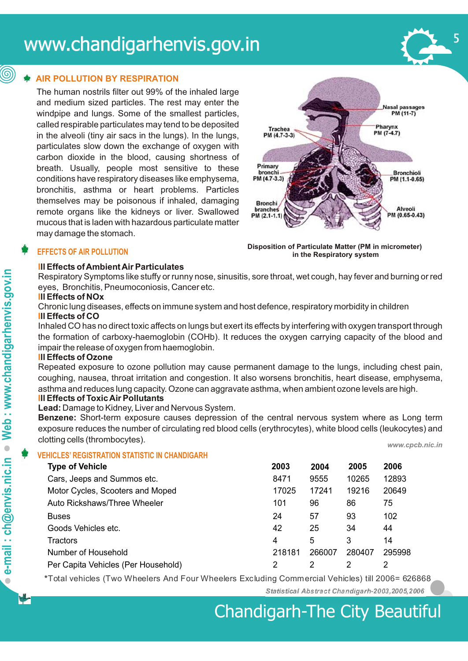# www.chandigarhenvis.gov.in

#### **AIR POLLUTION BY RESPIRATION**

The human nostrils filter out 99% of the inhaled large and medium sized particles. The rest may enter the windpipe and lungs. Some of the smallest particles, called respirable particulates may tend to be deposited in the alveoli (tiny air sacs in the lungs). In the lungs, particulates slow down the exchange of oxygen with carbon dioxide in the blood, causing shortness of breath. Usually, people most sensitive to these conditions have respiratory diseases like emphysema, bronchitis, asthma or heart problems. Particles themselves may be poisonous if inhaled, damaging remote organs like the kidneys or liver. Swallowed mucous that is laden with hazardous particulate matter may damage the stomach.



#### **EFFECTS OF AIR POLLUTION**

#### **Ill Effects of Ambient Air Particulates**



Respiratory Symptoms like stuffy or runny nose, sinusitis, sore throat, wet cough, hay fever and burning or red eyes, Bronchitis, Pneumoconiosis, Cancer etc.

#### **Ill Effects of NOx**

Chronic lung diseases, effects on immune system and host defence, respiratory morbidity in children **Ill Effects of CO** 

Inhaled CO has no direct toxic affects on lungs but exert its effects by interfering with oxygen transport through the formation of carboxy-haemoglobin (COHb). It reduces the oxygen carrying capacity of the blood and impair the release of oxygen from haemoglobin.

#### **Ill Effects of Ozone**

Repeated exposure to ozone pollution may cause permanent damage to the lungs, including chest pain, coughing, nausea, throat irritation and congestion. It also worsens bronchitis, heart disease, emphysema, asthma and reduces lung capacity. Ozone can aggravate asthma, when ambient ozone levels are high. **Ill Effects of Toxic Air Pollutants** 

#### **Lead:** Damage to Kidney, Liver and Nervous System.

**Benzene:** Short-term exposure causes depression of the central nervous system where as Long term exposure reduces the number of circulating red blood cells (erythrocytes), white blood cells (leukocytes) and clotting cells (thrombocytes). *www.cpcb.nic.in* 

#### **VEHICLES' REGISTRATION STATISTIC IN CHANDIGARH**

| <b>Type of Vehicle</b>              | 2003   | 2004   | 2005   | 2006   |
|-------------------------------------|--------|--------|--------|--------|
| Cars, Jeeps and Summos etc.         | 8471   | 9555   | 10265  | 12893  |
| Motor Cycles, Scooters and Moped    | 17025  | 17241  | 19216  | 20649  |
| Auto Rickshaws/Three Wheeler        | 101    | 96     | 86     | 75     |
| <b>Buses</b>                        | 24     | 57     | 93     | 102    |
| Goods Vehicles etc.                 | 42     | 25     | 34     | 44     |
| <b>Tractors</b>                     | 4      | 5      | 3      | 14     |
| Number of Household                 | 218181 | 266007 | 280407 | 295998 |
| Per Capita Vehicles (Per Household) | 2      | 2      | 2      | 2      |

**\***Total vehicles (Two Wheelers And Four Wheelers Excluding Commercial Vehicles) till 2006= 626868

Statistical Abstract Chandigarh-2003, 2005, 2006

 $\bullet$ 

(@)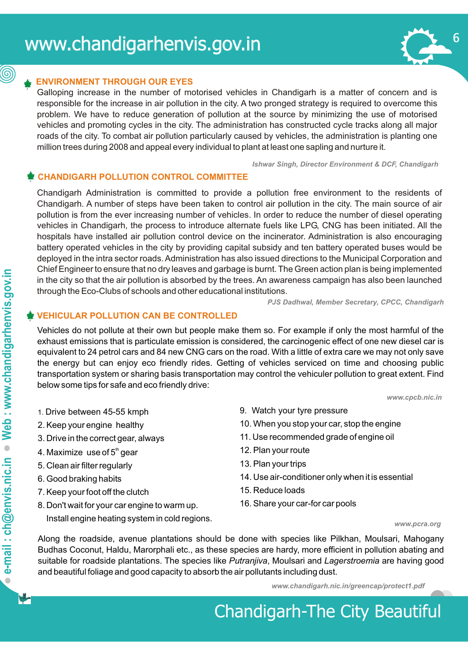

### (©)

#### **ENVIRONMENT THROUGH OUR EYES**

Galloping increase in the number of motorised vehicles in Chandigarh is a matter of concern and is responsible for the increase in air pollution in the city. A two pronged strategy is required to overcome this problem. We have to reduce generation of pollution at the source by minimizing the use of motorised vehicles and promoting cycles in the city. The administration has constructed cycle tracks along all major roads of the city. To combat air pollution particularly caused by vehicles, the administration is planting one million trees during 2008 and appeal every individual to plant at least one sapling and nurture it.

*Ishwar Singh, Director Environment & DCF, Chandigarh* 

#### **CHANDIGARH POLLUTION CONTROL COMMITTEE**

Chandigarh Administration is committed to provide a pollution free environment to the residents of Chandigarh. A number of steps have been taken to control air pollution in the city. The main source of air pollution is from the ever increasing number of vehicles. In order to reduce the number of diesel operating vehicles in Chandigarh, the process to introduce alternate fuels like LPG, CNG has been initiated. All the hospitals have installed air pollution control device on the incinerator. Administration is also encouraging battery operated vehicles in the city by providing capital subsidy and ten battery operated buses would be deployed in the intra sector roads. Administration has also issued directions to the Municipal Corporation and Chief Engineer to ensure that no dry leaves and garbage is burnt. The Green action plan is being implemented in the city so that the air pollution is absorbed by the trees. An awareness campaign has also been launched through the Eco-Clubs of schools and other educational institutions.

*PJS Dadhwal, Member Secretary, CPCC, Chandigarh* 

#### **VEHICULAR POLLUTION CAN BE CONTROLLED**

Vehicles do not pollute at their own but people make them so. For example if only the most harmful of the exhaust emissions that is particulate emission is considered, the carcinogenic effect of one new diesel car is equivalent to 24 petrol cars and 84 new CNG cars on the road. With a little of extra care we may not only save the energy but can enjoy eco friendly rides. Getting of vehicles serviced on time and choosing public transportation system or sharing basis transportation may control the vehiculer pollution to great extent. Find below some tips for safe and eco friendly drive:

*<www.cpcb.nic.in>*

- 1. Drive between 45-55 kmph 9. Watch your tyre pressure
- 
- 
- 4. Maximize use of  $5<sup>th</sup>$  gear 12. Plan your route
- 5. Clean air filter regularly 13. Plan your trips
- 
- 7. Keep your foot off the clutch 15. Reduce loads
- 8. Don't wait for your car engine to warm up. 16. Share your car-for car pools
	- Install engine heating system in cold regions. *<www.pcra.org>*
- 
- 2. Keep your engine healthy 10. When you stop your car, stop the engine
- 3. Drive in the correct gear, always 11. Use recommended grade of engine oil
	-
	-
- 6. Good braking habits 14. Use air-conditioner only when it is essential
	-
	-

Along the roadside, avenue plantations should be done with species like Pilkhan, Moulsari, Mahogany Budhas Coconut, Haldu, Marorphali etc., as these species are hardy, more efficient in pollution abating and suitable for roadside plantations. The species like *Putranjiva*, Moulsari and *Lagerstroemia* are having good and beautiful foliage and good capacity to absorb the air pollutants including dust.

*<www.chandigarh.nic.in/greencap/protect1.pdf>*

# Chandigarh-The City Beautiful

 $\bullet$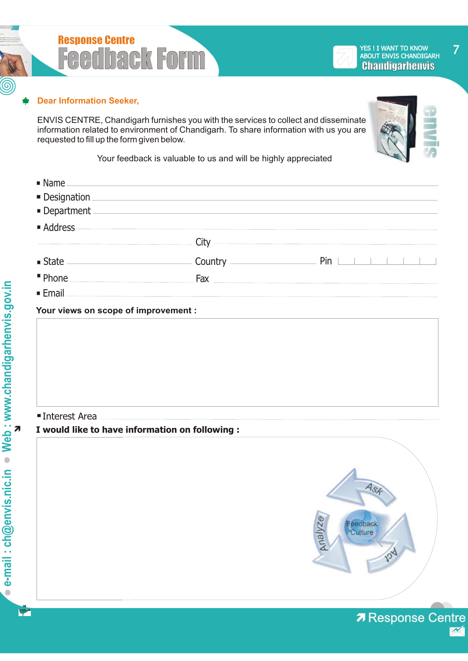

#### **Dear Information Seeker,**

ENVIS CENTRE, Chandigarh furnishes you with the services to collect and disseminate information related to environment of Chandigarh. To share information with us you are requested to fill up the form given below.



7

Your feedback is valuable to us and will be highly appreciated

| $\blacksquare$ Name                  |                                |                                                  |
|--------------------------------------|--------------------------------|--------------------------------------------------|
|                                      | Designation <b>Designation</b> |                                                  |
| Department                           |                                |                                                  |
| ■ Address                            |                                |                                                  |
|                                      |                                | $City$ and $x^2 + 2x + 3y = 0$                   |
|                                      |                                |                                                  |
| " Phone                              | Fax                            | <u> 1980 - Jan James James Barbara, martin d</u> |
| $\blacksquare$ Email                 |                                |                                                  |
| Your views on scope of improvement : |                                |                                                  |
|                                      |                                |                                                  |
|                                      |                                |                                                  |
|                                      |                                |                                                  |
|                                      |                                |                                                  |
|                                      |                                |                                                  |
|                                      |                                |                                                  |

#### **Interest Area**

#### **I would like to have information on following :**



**7 Response Centre** 

 $\circledS$